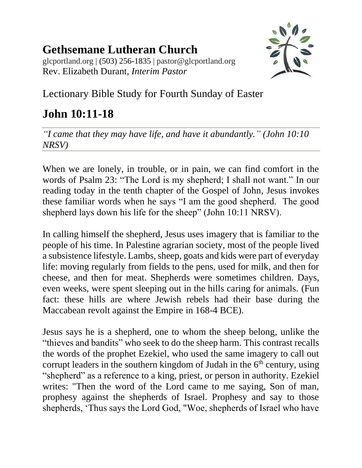## **Gethsemane Lutheran Church**

glcportland.org | (503) 256-1835 | pastor@glcportland.org Rev. Elizabeth Durant, *Interim Pastor*



## Lectionary Bible Study for Fourth Sunday of Easter

## **John 10:11-18**

*"I came that they may have life, and have it abundantly." (John 10:10 NRSV)*

When we are lonely, in trouble, or in pain, we can find comfort in the words of Psalm 23: "The Lord is my shepherd; I shall not want." In our reading today in the tenth chapter of the Gospel of John, Jesus invokes these familiar words when he says "I am the good shepherd. The good shepherd lays down his life for the sheep" (John 10:11 NRSV).

In calling himself the shepherd, Jesus uses imagery that is familiar to the people of his time. In Palestine agrarian society, most of the people lived a subsistence lifestyle. Lambs, sheep, goats and kids were part of everyday life: moving regularly from fields to the pens, used for milk, and then for cheese, and then for meat. Shepherds were sometimes children. Days, even weeks, were spent sleeping out in the hills caring for animals. (Fun fact: these hills are where Jewish rebels had their base during the Maccabean revolt against the Empire in 168-4 BCE).

Jesus says he is a shepherd, one to whom the sheep belong, unlike the "thieves and bandits" who seek to do the sheep harm. This contrast recalls the words of the prophet Ezekiel, who used the same imagery to call out corrupt leaders in the southern kingdom of Judah in the  $6<sup>th</sup>$  century, using "shepherd" as a reference to a king, priest, or person in authority. Ezekiel writes: "Then the word of the Lord came to me saying, Son of man, prophesy against the shepherds of Israel. Prophesy and say to those shepherds, 'Thus says the Lord God, "Woe, shepherds of Israel who have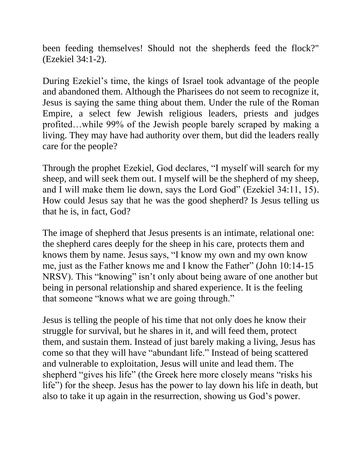been feeding themselves! Should not the shepherds feed the flock?" (Ezekiel 34:1-2).

During Ezekiel's time, the kings of Israel took advantage of the people and abandoned them. Although the Pharisees do not seem to recognize it, Jesus is saying the same thing about them. Under the rule of the Roman Empire, a select few Jewish religious leaders, priests and judges profited…while 99% of the Jewish people barely scraped by making a living. They may have had authority over them, but did the leaders really care for the people?

Through the prophet Ezekiel, God declares, "I myself will search for my sheep, and will seek them out. I myself will be the shepherd of my sheep, and I will make them lie down, says the Lord God" (Ezekiel 34:11, 15). How could Jesus say that he was the good shepherd? Is Jesus telling us that he is, in fact, God?

The image of shepherd that Jesus presents is an intimate, relational one: the shepherd cares deeply for the sheep in his care, protects them and knows them by name. Jesus says, "I know my own and my own know me, just as the Father knows me and I know the Father" (John 10:14-15 NRSV). This "knowing" isn't only about being aware of one another but being in personal relationship and shared experience. It is the feeling that someone "knows what we are going through."

Jesus is telling the people of his time that not only does he know their struggle for survival, but he shares in it, and will feed them, protect them, and sustain them. Instead of just barely making a living, Jesus has come so that they will have "abundant life." Instead of being scattered and vulnerable to exploitation, Jesus will unite and lead them. The shepherd "gives his life" (the Greek here more closely means "risks his life") for the sheep. Jesus has the power to lay down his life in death, but also to take it up again in the resurrection, showing us God's power.